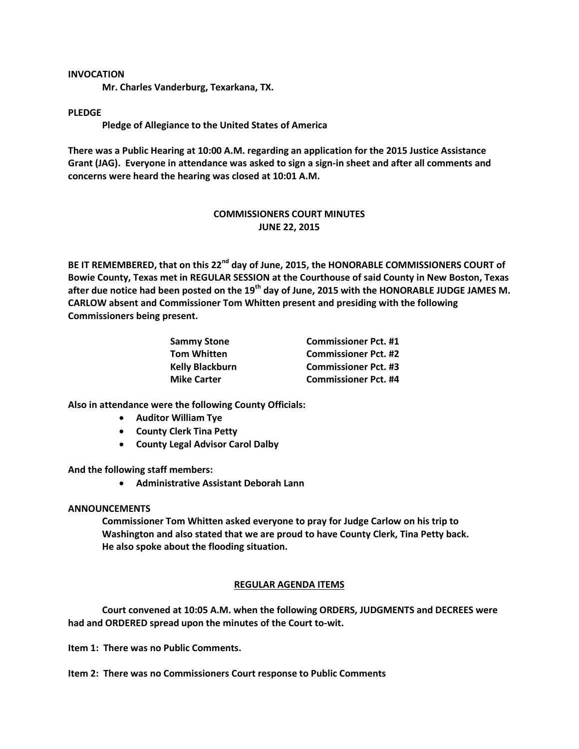## **INVOCATION**

**Mr. Charles Vanderburg, Texarkana, TX.**

## **PLEDGE**

**Pledge of Allegiance to the United States of America**

**There was a Public Hearing at 10:00 A.M. regarding an application for the 2015 Justice Assistance Grant (JAG). Everyone in attendance was asked to sign a sign-in sheet and after all comments and concerns were heard the hearing was closed at 10:01 A.M.**

# **COMMISSIONERS COURT MINUTES JUNE 22, 2015**

**BE IT REMEMBERED, that on this 22nd day of June, 2015, the HONORABLE COMMISSIONERS COURT of Bowie County, Texas met in REGULAR SESSION at the Courthouse of said County in New Boston, Texas after due notice had been posted on the 19th day of June, 2015 with the HONORABLE JUDGE JAMES M. CARLOW absent and Commissioner Tom Whitten present and presiding with the following Commissioners being present.**

| <b>Sammy Stone</b>     | <b>Commissioner Pct. #1</b> |
|------------------------|-----------------------------|
| <b>Tom Whitten</b>     | <b>Commissioner Pct. #2</b> |
| <b>Kelly Blackburn</b> | <b>Commissioner Pct. #3</b> |
| <b>Mike Carter</b>     | <b>Commissioner Pct. #4</b> |

**Also in attendance were the following County Officials:**

- **Auditor William Tye**
- **County Clerk Tina Petty**
- **County Legal Advisor Carol Dalby**

**And the following staff members:**

**Administrative Assistant Deborah Lann**

## **ANNOUNCEMENTS**

**Commissioner Tom Whitten asked everyone to pray for Judge Carlow on his trip to Washington and also stated that we are proud to have County Clerk, Tina Petty back. He also spoke about the flooding situation.**

# **REGULAR AGENDA ITEMS**

**Court convened at 10:05 A.M. when the following ORDERS, JUDGMENTS and DECREES were had and ORDERED spread upon the minutes of the Court to-wit.**

**Item 1: There was no Public Comments.**

**Item 2: There was no Commissioners Court response to Public Comments**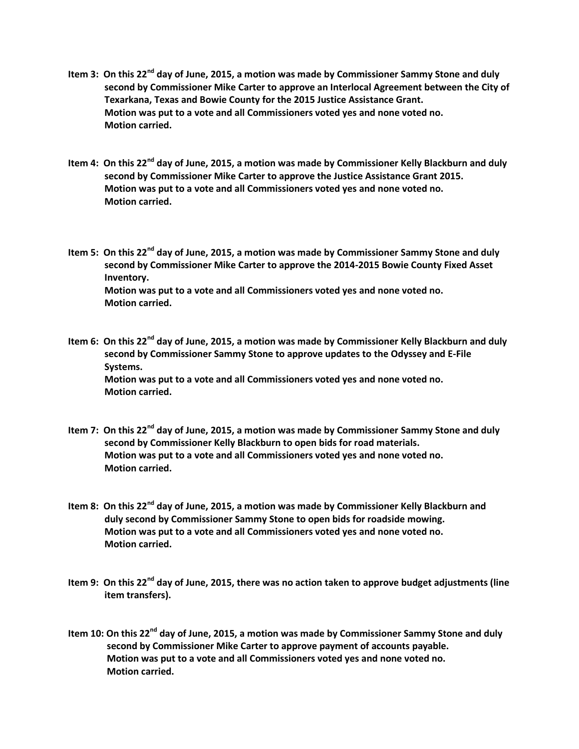- **Item 3: On this 22nd day of June, 2015, a motion was made by Commissioner Sammy Stone and duly second by Commissioner Mike Carter to approve an Interlocal Agreement between the City of Texarkana, Texas and Bowie County for the 2015 Justice Assistance Grant. Motion was put to a vote and all Commissioners voted yes and none voted no. Motion carried.**
- **Item 4: On this 22nd day of June, 2015, a motion was made by Commissioner Kelly Blackburn and duly second by Commissioner Mike Carter to approve the Justice Assistance Grant 2015. Motion was put to a vote and all Commissioners voted yes and none voted no. Motion carried.**

**Item 5: On this 22nd day of June, 2015, a motion was made by Commissioner Sammy Stone and duly second by Commissioner Mike Carter to approve the 2014-2015 Bowie County Fixed Asset Inventory. Motion was put to a vote and all Commissioners voted yes and none voted no. Motion carried.**

- **Item 6: On this 22nd day of June, 2015, a motion was made by Commissioner Kelly Blackburn and duly second by Commissioner Sammy Stone to approve updates to the Odyssey and E-File Systems. Motion was put to a vote and all Commissioners voted yes and none voted no. Motion carried.**
- **Item 7: On this 22nd day of June, 2015, a motion was made by Commissioner Sammy Stone and duly second by Commissioner Kelly Blackburn to open bids for road materials. Motion was put to a vote and all Commissioners voted yes and none voted no. Motion carried.**
- **Item 8: On this 22nd day of June, 2015, a motion was made by Commissioner Kelly Blackburn and duly second by Commissioner Sammy Stone to open bids for roadside mowing. Motion was put to a vote and all Commissioners voted yes and none voted no. Motion carried.**
- **Item 9: On this 22nd day of June, 2015, there was no action taken to approve budget adjustments (line item transfers).**
- **Item 10: On this 22nd day of June, 2015, a motion was made by Commissioner Sammy Stone and duly second by Commissioner Mike Carter to approve payment of accounts payable. Motion was put to a vote and all Commissioners voted yes and none voted no. Motion carried.**